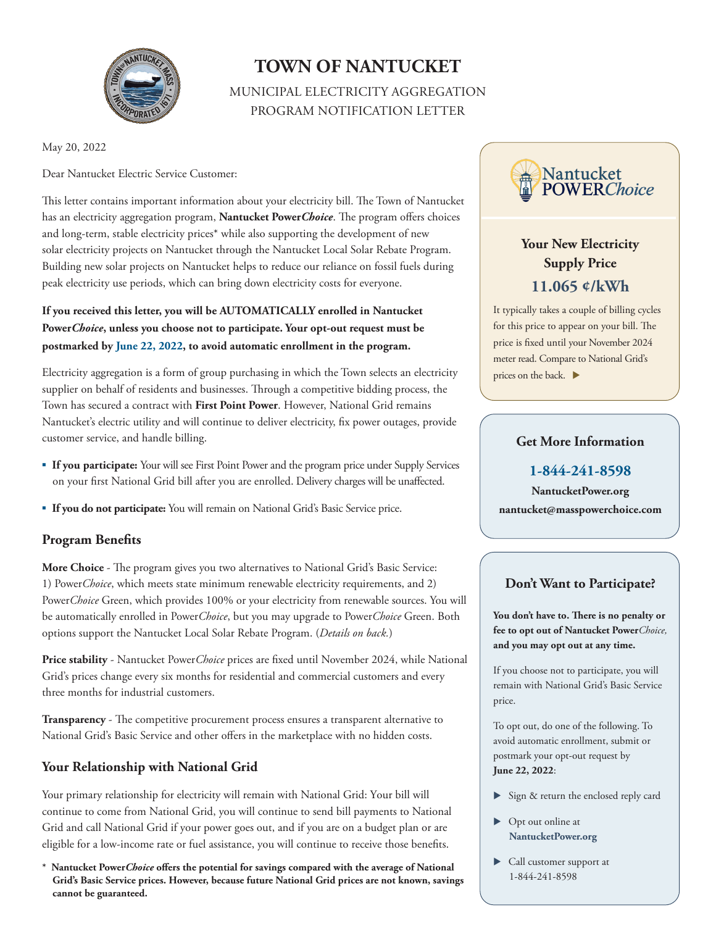

# **TOWN OF NANTUCKET**

MUNICIPAL ELECTRICITY AGGREGATION PROGRAM NOTIFICATION LETTER

May 20, 2022

Dear Nantucket Electric Service Customer:

This letter contains important information about your electricity bill. The Town of Nantucket has an electricity aggregation program, **Nantucket Power***Choice*. The program offers choices and long-term, stable electricity prices\* while also supporting the development of new solar electricity projects on Nantucket through the Nantucket Local Solar Rebate Program. Building new solar projects on Nantucket helps to reduce our reliance on fossil fuels during peak electricity use periods, which can bring down electricity costs for everyone.

**If you received this letter, you will be AUTOMATICALLY enrolled in Nantucket Power***Choice***, unless you choose not to participate. Your opt-out request must be postmarked by June 22, 2022, to avoid automatic enrollment in the program.** 

Electricity aggregation is a form of group purchasing in which the Town selects an electricity supplier on behalf of residents and businesses. Through a competitive bidding process, the Town has secured a contract with **First Point Power**. However, National Grid remains Nantucket's electric utility and will continue to deliver electricity, fix power outages, provide customer service, and handle billing.

- **If you participate:** Your will see First Point Power and the program price under Supply Services on your first National Grid bill after you are enrolled. Delivery charges will be unaffected.
- **If you do not participate:** You will remain on National Grid's Basic Service price.

# **Program Benefits**

**More Choice** - The program gives you two alternatives to National Grid's Basic Service: 1) Power*Choice*, which meets state minimum renewable electricity requirements, and 2) Power*Choice* Green, which provides 100% or your electricity from renewable sources. You will be automatically enrolled in Power*Choice*, but you may upgrade to Power*Choice* Green. Both options support the Nantucket Local Solar Rebate Program. (*Details on back.*)

**Price stability** - Nantucket Power*Choice* prices are fixed until November 2024, while National Grid's prices change every six months for residential and commercial customers and every three months for industrial customers.

**Transparency** - The competitive procurement process ensures a transparent alternative to National Grid's Basic Service and other offers in the marketplace with no hidden costs.

# **Your Relationship with National Grid**

Your primary relationship for electricity will remain with National Grid: Your bill will continue to come from National Grid, you will continue to send bill payments to National Grid and call National Grid if your power goes out, and if you are on a budget plan or are eligible for a low-income rate or fuel assistance, you will continue to receive those benefits.

**\* Nantucket Power***Choice* **offers the potential for savings compared with the average of National Grid's Basic Service prices. However, because future National Grid prices are not known, savings cannot be guaranteed.** 



# **Your New Electricity Supply Price 11.065 ¢/kWh**

It typically takes a couple of billing cycles for this price to appear on your bill. The price is fixed until your November 2024 meter read. Compare to National Grid's prices on the back.  $\blacktriangleright$ 

#### **Get More Information**

**1-844-241-8598**

**NantucketPower.org nantucket@masspowerchoice.com**

# **Don't Want to Participate?**

**You don't have to. There is no penalty or fee to opt out of Nantucket Power***Choice,* **and you may opt out at any time.**

If you choose not to participate, you will remain with National Grid's Basic Service price.

To opt out, do one of the following. To avoid automatic enrollment, submit or postmark your opt-out request by **June 22, 2022**:

- Sign & return the enclosed reply card
- ▶ Opt out online at **NantucketPower.org**
- Call customer support at 1-844-241-8598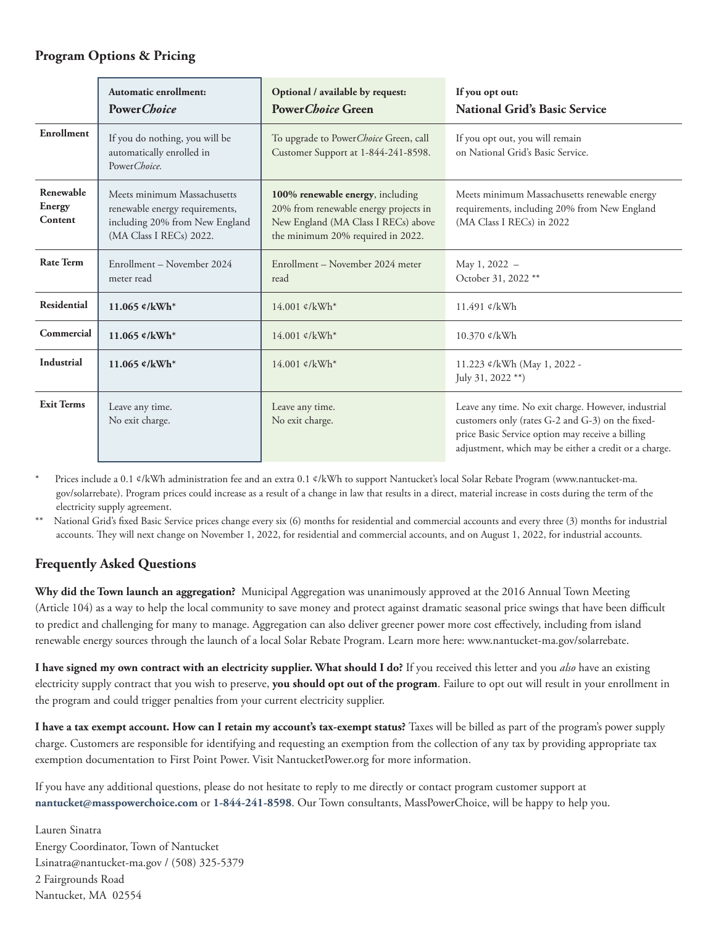# **Program Options & Pricing**

|                                | Automatic enrollment:<br>Power Choice                                                                                      | Optional / available by request:<br><b>Power Choice Green</b>                                                                                         | If you opt out:<br><b>National Grid's Basic Service</b>                                                                                                                                                              |
|--------------------------------|----------------------------------------------------------------------------------------------------------------------------|-------------------------------------------------------------------------------------------------------------------------------------------------------|----------------------------------------------------------------------------------------------------------------------------------------------------------------------------------------------------------------------|
| Enrollment                     | If you do nothing, you will be<br>automatically enrolled in<br>Power Choice.                                               | To upgrade to Power Choice Green, call<br>Customer Support at 1-844-241-8598.                                                                         | If you opt out, you will remain<br>on National Grid's Basic Service.                                                                                                                                                 |
| Renewable<br>Energy<br>Content | Meets minimum Massachusetts<br>renewable energy requirements,<br>including 20% from New England<br>(MA Class I RECs) 2022. | 100% renewable energy, including<br>20% from renewable energy projects in<br>New England (MA Class I RECs) above<br>the minimum 20% required in 2022. | Meets minimum Massachusetts renewable energy<br>requirements, including 20% from New England<br>(MA Class I RECs) in 2022                                                                                            |
| <b>Rate Term</b>               | Enrollment – November 2024<br>meter read                                                                                   | Enrollment – November 2024 meter<br>read                                                                                                              | May 1, 2022 -<br>October 31, 2022 **                                                                                                                                                                                 |
| <b>Residential</b>             | 11.065 $\ell$ /kWh*                                                                                                        | $14.001 \text{ c/kWh}^*$                                                                                                                              | $11.491 \text{ c/kWh}$                                                                                                                                                                                               |
| Commercial                     | 11.065 $\ell$ /kWh*                                                                                                        | $14.001 \text{ c/kWh}^*$                                                                                                                              | 10.370 ¢/kWh                                                                                                                                                                                                         |
| <b>Industrial</b>              | 11.065 $\ell$ /kWh*                                                                                                        | $14.001 \text{ c/kWh}^*$                                                                                                                              | 11.223 ¢/kWh (May 1, 2022 -<br>July 31, 2022 **)                                                                                                                                                                     |
| <b>Exit Terms</b>              | Leave any time.<br>No exit charge.                                                                                         | Leave any time.<br>No exit charge.                                                                                                                    | Leave any time. No exit charge. However, industrial<br>customers only (rates G-2 and G-3) on the fixed-<br>price Basic Service option may receive a billing<br>adjustment, which may be either a credit or a charge. |

Prices include a 0.1 ¢/kWh administration fee and an extra 0.1 ¢/kWh to support Nantucket's local Solar Rebate Program (www.nantucket-ma. gov/solarrebate). Program prices could increase as a result of a change in law that results in a direct, material increase in costs during the term of the electricity supply agreement.

\*\* National Grid's fixed Basic Service prices change every six (6) months for residential and commercial accounts and every three (3) months for industrial accounts. They will next change on November 1, 2022, for residential and commercial accounts, and on August 1, 2022, for industrial accounts.

# **Frequently Asked Questions**

**Why did the Town launch an aggregation?** Municipal Aggregation was unanimously approved at the 2016 Annual Town Meeting (Article 104) as a way to help the local community to save money and protect against dramatic seasonal price swings that have been difficult to predict and challenging for many to manage. Aggregation can also deliver greener power more cost effectively, including from island renewable energy sources through the launch of a local Solar Rebate Program. Learn more here: www.nantucket-ma.gov/solarrebate.

**I have signed my own contract with an electricity supplier. What should I do?** If you received this letter and you *also* have an existing electricity supply contract that you wish to preserve, **you should opt out of the program**. Failure to opt out will result in your enrollment in the program and could trigger penalties from your current electricity supplier.

**I have a tax exempt account. How can I retain my account's tax-exempt status?** Taxes will be billed as part of the program's power supply charge. Customers are responsible for identifying and requesting an exemption from the collection of any tax by providing appropriate tax exemption documentation to First Point Power. Visit NantucketPower.org for more information.

If you have any additional questions, please do not hesitate to reply to me directly or contact program customer support at **nantucket@masspowerchoice.com** or **1-844-241-8598**. Our Town consultants, MassPowerChoice, will be happy to help you.

Lauren Sinatra Energy Coordinator, Town of Nantucket Lsinatra@nantucket-ma.gov / (508) 325-5379 2 Fairgrounds Road Nantucket, MA 02554